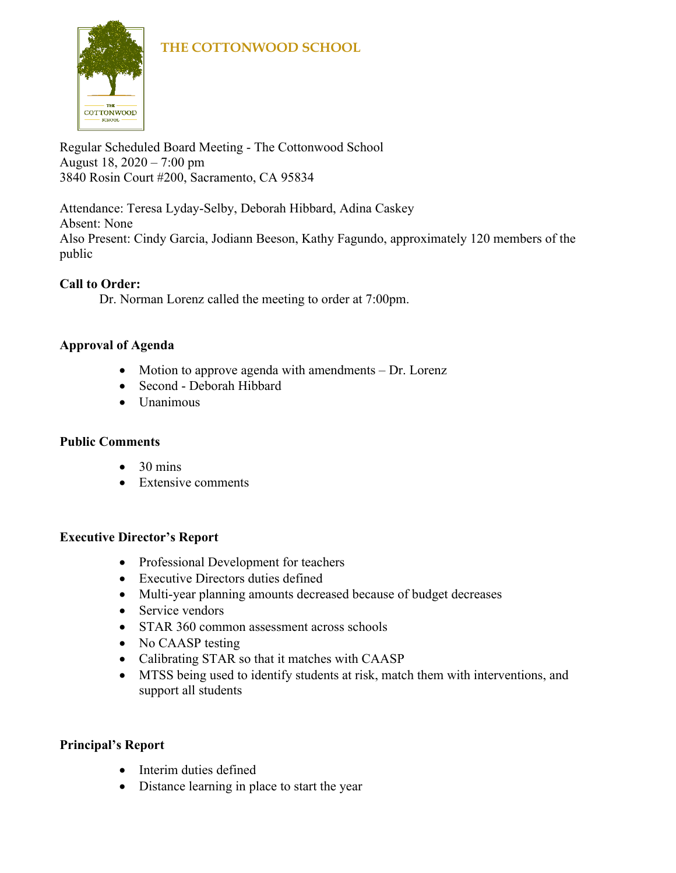

Regular Scheduled Board Meeting - The Cottonwood School August 18, 2020 – 7:00 pm 3840 Rosin Court #200, Sacramento, CA 95834

Attendance: Teresa Lyday-Selby, Deborah Hibbard, Adina Caskey Absent: None Also Present: Cindy Garcia, Jodiann Beeson, Kathy Fagundo, approximately 120 members of the public

# **Call to Order:**

Dr. Norman Lorenz called the meeting to order at 7:00pm.

# **Approval of Agenda**

- Motion to approve agenda with amendments Dr. Lorenz
- Second Deborah Hibbard
- Unanimous

### **Public Comments**

- $\bullet$  30 mins
- Extensive comments

### **Executive Director's Report**

- Professional Development for teachers
- Executive Directors duties defined
- Multi-year planning amounts decreased because of budget decreases
- Service vendors
- STAR 360 common assessment across schools
- No CAASP testing
- Calibrating STAR so that it matches with CAASP
- MTSS being used to identify students at risk, match them with interventions, and support all students

### **Principal's Report**

- Interim duties defined
- Distance learning in place to start the year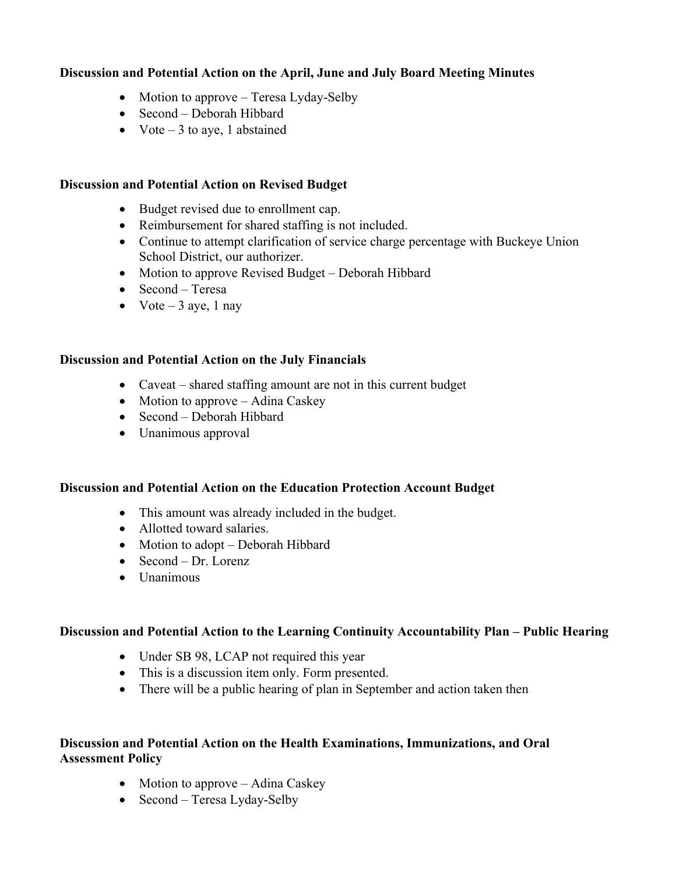## **Discussion and Potential Action on the April, June and July Board Meeting Minutes**

- Motion to approve Teresa Lyday-Selby
- Second Deborah Hibbard
- Vote  $-3$  to aye, 1 abstained

#### **Discussion and Potential Action on Revised Budget**

- Budget revised due to enrollment cap.
- Reimbursement for shared staffing is not included.
- Continue to attempt clarification of service charge percentage with Buckeye Union School District, our authorizer.
- Motion to approve Revised Budget Deborah Hibbard
- Second Teresa
- Vote  $-3$  aye, 1 nay

#### **Discussion and Potential Action on the July Financials**

- Caveat shared staffing amount are not in this current budget
- Motion to approve Adina Caskey
- Second Deborah Hibbard
- Unanimous approval

#### **Discussion and Potential Action on the Education Protection Account Budget**

- This amount was already included in the budget.
- Allotted toward salaries.
- Motion to adopt Deborah Hibbard
- Second Dr. Lorenz
- Unanimous

#### **Discussion and Potential Action to the Learning Continuity Accountability Plan – Public Hearing**

- Under SB 98, LCAP not required this year
- This is a discussion item only. Form presented.
- There will be a public hearing of plan in September and action taken then

### **Discussion and Potential Action on the Health Examinations, Immunizations, and Oral Assessment Policy**

- Motion to approve Adina Caskey
- Second Teresa Lyday-Selby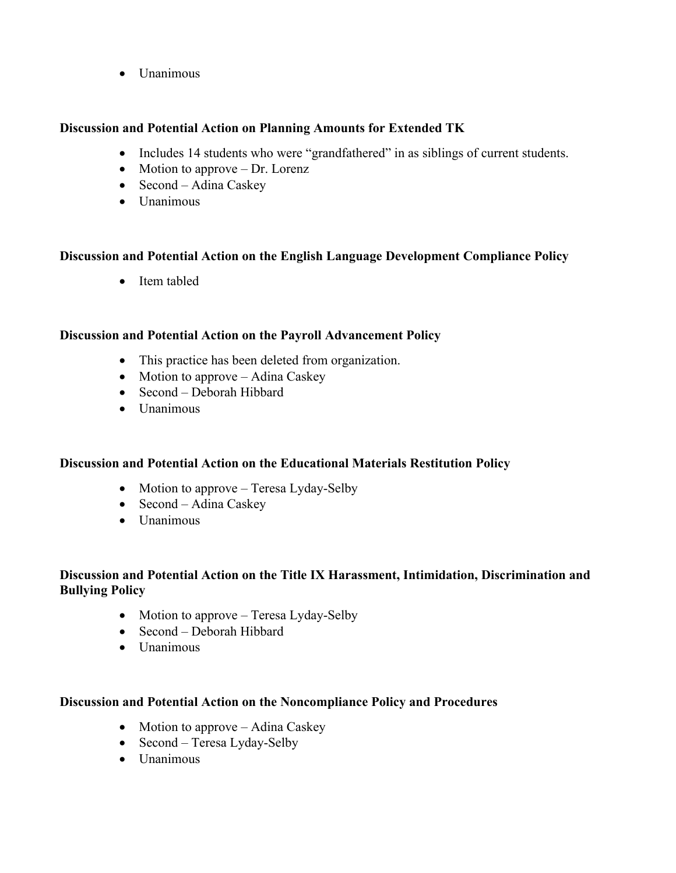• Unanimous

#### **Discussion and Potential Action on Planning Amounts for Extended TK**

- Includes 14 students who were "grandfathered" in as siblings of current students.
- Motion to approve Dr. Lorenz
- Second Adina Caskey
- Unanimous

#### **Discussion and Potential Action on the English Language Development Compliance Policy**

• Item tabled

#### **Discussion and Potential Action on the Payroll Advancement Policy**

- This practice has been deleted from organization.
- Motion to approve Adina Caskey
- Second Deborah Hibbard
- Unanimous

### **Discussion and Potential Action on the Educational Materials Restitution Policy**

- Motion to approve Teresa Lyday-Selby
- Second Adina Caskey
- Unanimous

### **Discussion and Potential Action on the Title IX Harassment, Intimidation, Discrimination and Bullying Policy**

- Motion to approve Teresa Lyday-Selby
- Second Deborah Hibbard
- Unanimous

#### **Discussion and Potential Action on the Noncompliance Policy and Procedures**

- Motion to approve Adina Caskey
- Second Teresa Lyday-Selby
- Unanimous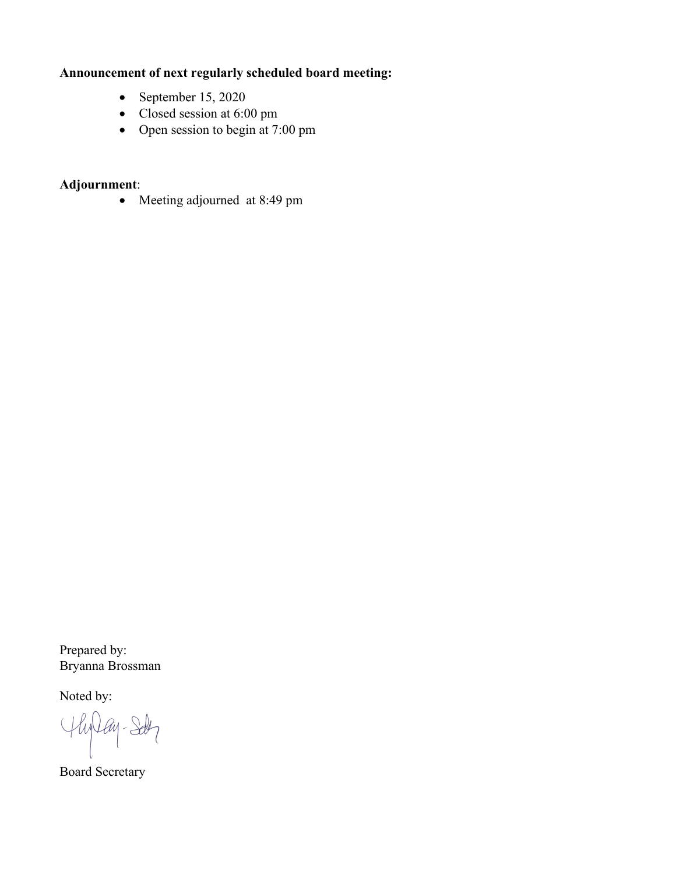# **Announcement of next regularly scheduled board meeting:**

- September 15, 2020
- Closed session at 6:00 pm
- Open session to begin at 7:00 pm

# **Adjournment**:

• Meeting adjourned at 8:49 pm

Prepared by: Bryanna Brossman

Noted by:

Hylay-Sdy

Board Secretary